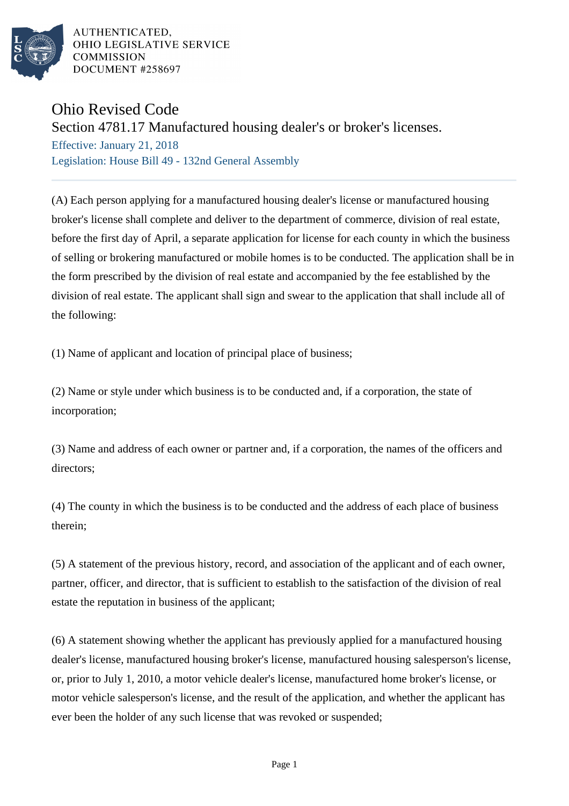

AUTHENTICATED. OHIO LEGISLATIVE SERVICE **COMMISSION** DOCUMENT #258697

## Ohio Revised Code

## Section 4781.17 Manufactured housing dealer's or broker's licenses.

Effective: January 21, 2018 Legislation: House Bill 49 - 132nd General Assembly

(A) Each person applying for a manufactured housing dealer's license or manufactured housing broker's license shall complete and deliver to the department of commerce, division of real estate, before the first day of April, a separate application for license for each county in which the business of selling or brokering manufactured or mobile homes is to be conducted. The application shall be in the form prescribed by the division of real estate and accompanied by the fee established by the division of real estate. The applicant shall sign and swear to the application that shall include all of the following:

(1) Name of applicant and location of principal place of business;

(2) Name or style under which business is to be conducted and, if a corporation, the state of incorporation;

(3) Name and address of each owner or partner and, if a corporation, the names of the officers and directors;

(4) The county in which the business is to be conducted and the address of each place of business therein;

(5) A statement of the previous history, record, and association of the applicant and of each owner, partner, officer, and director, that is sufficient to establish to the satisfaction of the division of real estate the reputation in business of the applicant;

(6) A statement showing whether the applicant has previously applied for a manufactured housing dealer's license, manufactured housing broker's license, manufactured housing salesperson's license, or, prior to July 1, 2010, a motor vehicle dealer's license, manufactured home broker's license, or motor vehicle salesperson's license, and the result of the application, and whether the applicant has ever been the holder of any such license that was revoked or suspended;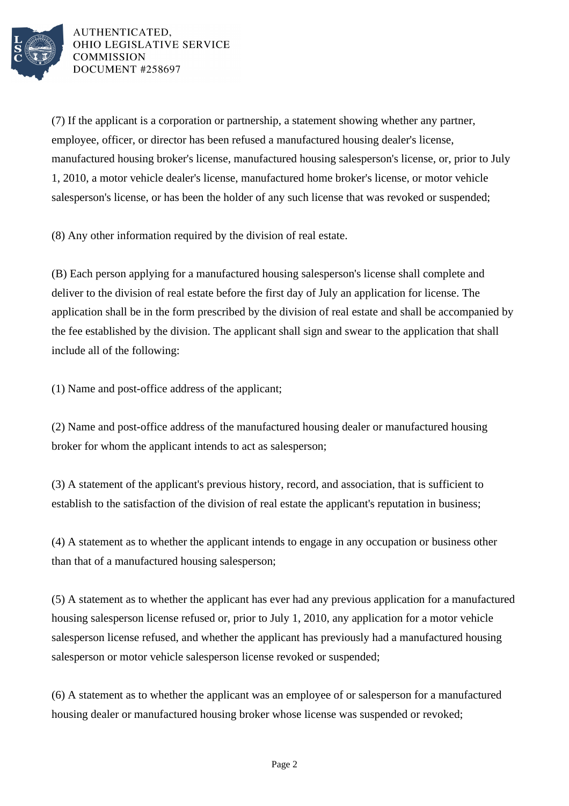

AUTHENTICATED. OHIO LEGISLATIVE SERVICE **COMMISSION** DOCUMENT #258697

(7) If the applicant is a corporation or partnership, a statement showing whether any partner, employee, officer, or director has been refused a manufactured housing dealer's license, manufactured housing broker's license, manufactured housing salesperson's license, or, prior to July 1, 2010, a motor vehicle dealer's license, manufactured home broker's license, or motor vehicle salesperson's license, or has been the holder of any such license that was revoked or suspended;

(8) Any other information required by the division of real estate.

(B) Each person applying for a manufactured housing salesperson's license shall complete and deliver to the division of real estate before the first day of July an application for license. The application shall be in the form prescribed by the division of real estate and shall be accompanied by the fee established by the division. The applicant shall sign and swear to the application that shall include all of the following:

(1) Name and post-office address of the applicant;

(2) Name and post-office address of the manufactured housing dealer or manufactured housing broker for whom the applicant intends to act as salesperson;

(3) A statement of the applicant's previous history, record, and association, that is sufficient to establish to the satisfaction of the division of real estate the applicant's reputation in business;

(4) A statement as to whether the applicant intends to engage in any occupation or business other than that of a manufactured housing salesperson;

(5) A statement as to whether the applicant has ever had any previous application for a manufactured housing salesperson license refused or, prior to July 1, 2010, any application for a motor vehicle salesperson license refused, and whether the applicant has previously had a manufactured housing salesperson or motor vehicle salesperson license revoked or suspended;

(6) A statement as to whether the applicant was an employee of or salesperson for a manufactured housing dealer or manufactured housing broker whose license was suspended or revoked;